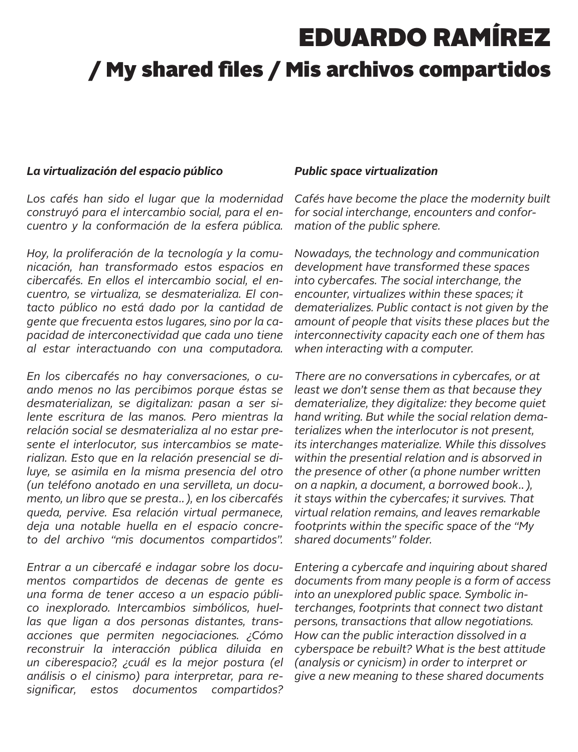# EDUARDO RAMÍREZ / My shared files / Mis archivos compartidos

#### *La virtualización del espacio público*

*Los cafés han sido el lugar que la modernidad construyó para el intercambio social, para el encuentro y la conformación de la esfera pública.*

*Hoy, la proliferación de la tecnología y la comunicación, han transformado estos espacios en cibercafés. En ellos el intercambio social, el encuentro, se virtualiza, se desmaterializa. El contacto público no está dado por la cantidad de gente que frecuenta estos lugares, sino por la capacidad de interconectividad que cada uno tiene al estar interactuando con una computadora.* 

*En los cibercafés no hay conversaciones, o cuando menos no las percibimos porque éstas se desmaterializan, se digitalizan: pasan a ser silente escritura de las manos. Pero mientras la relación social se desmaterializa al no estar presente el interlocutor, sus intercambios se materializan. Esto que en la relación presencial se diluye, se asimila en la misma presencia del otro (un teléfono anotado en una servilleta, un documento, un libro que se presta…), en los cibercafés queda, pervive. Esa relación virtual permanece, deja una notable huella en el espacio concreto del archivo "mis documentos compartidos".*

*Entrar a un cibercafé e indagar sobre los documentos compartidos de decenas de gente es una forma de tener acceso a un espacio público inexplorado. Intercambios simbólicos, huellas que ligan a dos personas distantes, transacciones que permiten negociaciones. ¿Cómo reconstruir la interacción pública diluida en un ciberespacio?, ¿cuál es la mejor postura (el análisis o el cinismo) para interpretar, para resignificar, estos documentos compartidos?*

### *Public space virtualization*

*Cafés have become the place the modernity built for social interchange, encounters and conformation of the public sphere.*

*Nowadays, the technology and communication development have transformed these spaces into cybercafes. The social interchange, the encounter, virtualizes within these spaces; it dematerializes. Public contact is not given by the amount of people that visits these places but the interconnectivity capacity each one of them has when interacting with a computer.* 

*There are no conversations in cybercafes, or at least we don't sense them as that because they dematerialize, they digitalize: they become quiet hand writing. But while the social relation dematerializes when the interlocutor is not present, its interchanges materialize. While this dissolves within the presential relation and is absorved in the presence of other (a phone number written on a napkin, a document, a borrowed book…), it stays within the cybercafes; it survives. That virtual relation remains, and leaves remarkable footprints within the specific space of the "My shared documents" folder.*

*Entering a cybercafe and inquiring about shared documents from many people is a form of access into an unexplored public space. Symbolic interchanges, footprints that connect two distant persons, transactions that allow negotiations. How can the public interaction dissolved in a cyberspace be rebuilt? What is the best attitude (analysis or cynicism) in order to interpret or give a new meaning to these shared documents*